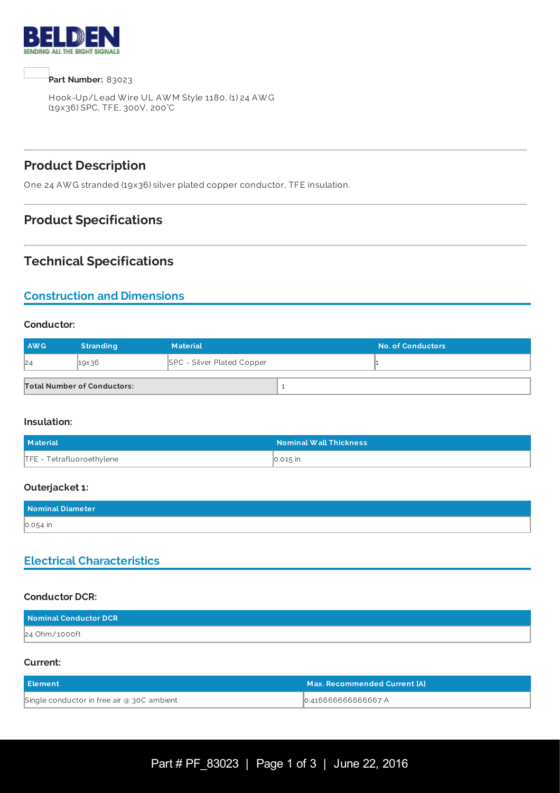

**Part Number:** 83023

Hook-Up/Lead W ire UL AW M Style 1180, (1) 24 AW G (19x36) SPC, TFE, 300V, 200°C

## **Product Description**

One 24 AW G stranded (19x36) silver plated copper conductor, TFE insulation.

## **Product Specifications**

# **Technical Specifications**

# **Construction and Dimensions**

### **Conductor:**

| AWG | <b>Stranding</b>                   | <b>Material</b>                   | <b>No. of Conductors</b> |
|-----|------------------------------------|-----------------------------------|--------------------------|
| 24  | $19\times36$                       | <b>SPC - Silver Plated Copper</b> |                          |
|     | <b>Total Number of Conductors:</b> |                                   |                          |

### **Insulation:**

| <b>Material</b>           | <b>Nominal Wall Thickness</b> |
|---------------------------|-------------------------------|
| TFE - Tetrafluoroethylene | 0.015 in                      |

### **Outerjacket 1:**

| Nominal Diameter |  |
|------------------|--|
| $0.054$ in       |  |

### **Electrical Characteristics**

### **Conductor DCR:**

| Nominal Conductor DCR |  |
|-----------------------|--|
| 24 Ohm/1000ft         |  |

#### **Current:**

| <b>Element</b>                             | Max. Recommended Current [A] |
|--------------------------------------------|------------------------------|
| Single conductor in free air @ 30C ambient | 0.416666666666667 A          |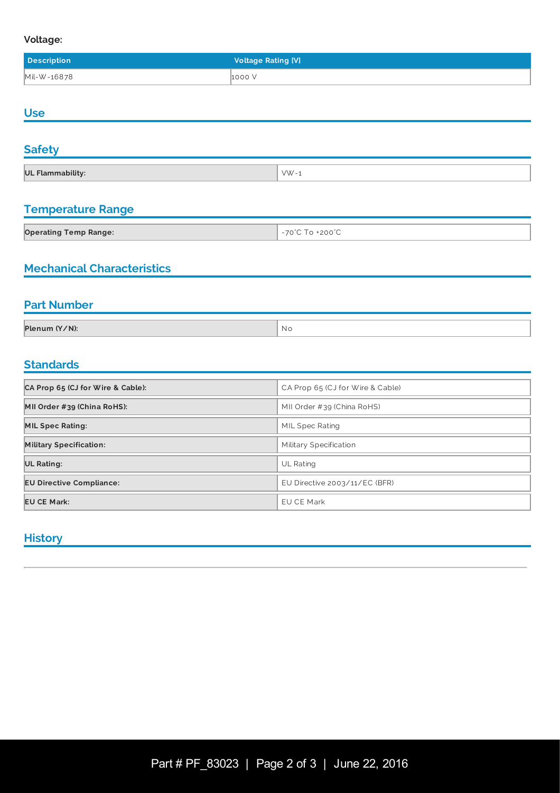### **Voltage:**

| <b>Description</b> | <b>Voltage Rating [V]</b> |
|--------------------|---------------------------|
| Mil-W-16878        | 1000V                     |

## **Use**

| <b>Safety</b>           |          |
|-------------------------|----------|
| <b>UL Flammability:</b> | $VW - 1$ |

## **Temperature Range**

| <b>Operating Temp Range:</b> | $+200^{\circ}$ C<br>$\neg \wedge$ |
|------------------------------|-----------------------------------|

# **Mechanical Characteristics**

## **Part Number**

| $V/N$ ):<br><b>Dlanun</b><br>$\ddotsc$ | Νo |
|----------------------------------------|----|
|                                        |    |

# **Standards Standards Standards**

| CA Prop 65 (CJ for Wire & Cable): | CA Prop 65 (CJ for Wire & Cable) |
|-----------------------------------|----------------------------------|
| MII Order #39 (China RoHS):       | MII Order #39 (China RoHS)       |
| <b>MIL Spec Rating:</b>           | MIL Spec Rating                  |
| <b>Military Specification:</b>    | Military Specification           |
| <b>UL Rating:</b>                 | <b>UL Rating</b>                 |
| <b>EU Directive Compliance:</b>   | EU Directive $2003/11/EC$ (BFR)  |
| <b>EU CE Mark:</b>                | EU CE Mark                       |

### **History**